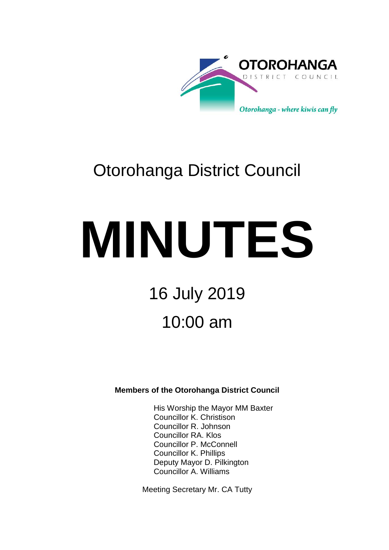

# Otorohanga District Council

# **MINUTES**

# 16 July 2019 10:00 am

## **Members of the Otorohanga District Council**

His Worship the Mayor MM Baxter Councillor K. Christison Councillor R. Johnson Councillor RA. Klos Councillor P. McConnell Councillor K. Phillips Deputy Mayor D. Pilkington Councillor A. Williams

Meeting Secretary Mr. CA Tutty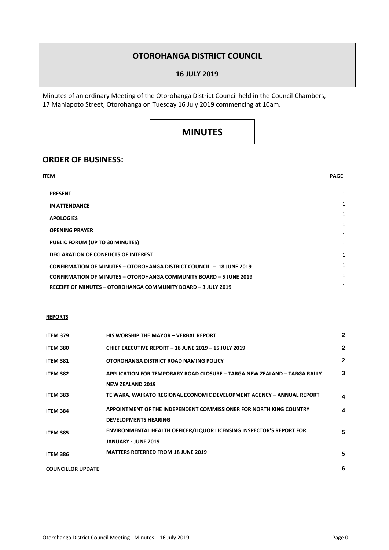### **OTOROHANGA DISTRICT COUNCIL**

#### **16 JULY 2019**

Minutes of an ordinary Meeting of the Otorohanga District Council held in the Council Chambers, 17 Maniapoto Street, Otorohanga on Tuesday 16 July 2019 commencing at 10am.

## **MINUTES**

#### **ORDER OF BUSINESS:**

| ITEM                                                                        | <b>PAGE</b> |
|-----------------------------------------------------------------------------|-------------|
| <b>PRESENT</b>                                                              | 1           |
| <b>IN ATTENDANCE</b>                                                        | 1           |
| <b>APOLOGIES</b>                                                            | 1           |
| <b>OPENING PRAYER</b>                                                       | 1           |
| PUBLIC FORUM (UP TO 30 MINUTES)                                             | 1           |
|                                                                             | 1           |
| <b>DECLARATION OF CONFLICTS OF INTEREST</b>                                 | 1           |
| <b>CONFIRMATION OF MINUTES - OTOROHANGA DISTRICT COUNCIL - 18 JUNE 2019</b> | 1           |
| <b>CONFIRMATION OF MINUTES - OTOROHANGA COMMUNITY BOARD - 5 JUNE 2019</b>   | 1<br>1      |
| RECEIPT OF MINUTES - OTOROHANGA COMMUNITY BOARD - 3 JULY 2019               |             |

#### **REPORTS**

| <b>ITEM 379</b>          | <b>HIS WORSHIP THE MAYOR - VERBAL REPORT</b>                                                              | $\mathbf{2}$ |
|--------------------------|-----------------------------------------------------------------------------------------------------------|--------------|
| <b>ITEM 380</b>          | CHIEF EXECUTIVE REPORT - 18 JUNE 2019 - 15 JULY 2019                                                      | $\mathbf{2}$ |
| <b>ITEM 381</b>          | OTOROHANGA DISTRICT ROAD NAMING POLICY                                                                    | $\mathbf{2}$ |
| <b>ITEM 382</b>          | APPLICATION FOR TEMPORARY ROAD CLOSURE - TARGA NEW ZEALAND - TARGA RALLY<br><b>NEW ZEALAND 2019</b>       | 3            |
| <b>ITEM 383</b>          | TE WAKA, WAIKATO REGIONAL ECONOMIC DEVELOPMENT AGENCY - ANNUAL REPORT                                     | 4            |
| <b>ITEM 384</b>          | APPOINTMENT OF THE INDEPENDENT COMMISSIONER FOR NORTH KING COUNTRY<br><b>DEVELOPMENTS HEARING</b>         | 4            |
| <b>ITEM 385</b>          | <b>ENVIRONMENTAL HEALTH OFFICER/LIQUOR LICENSING INSPECTOR'S REPORT FOR</b><br><b>JANUARY - JUNE 2019</b> | 5            |
| <b>ITEM 386</b>          | <b>MATTERS REFERRED FROM 18 JUNE 2019</b>                                                                 | 5            |
| <b>COUNCILLOR UPDATE</b> |                                                                                                           | 6            |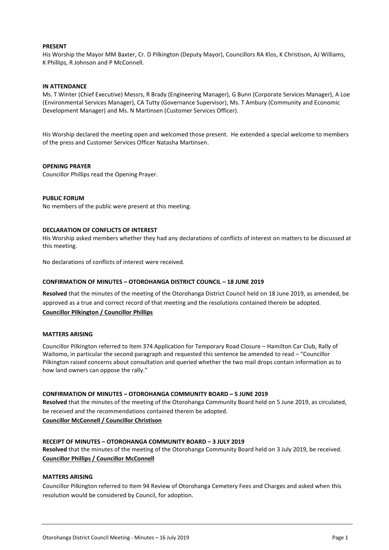#### **PRESENT**

His Worship the Mayor MM Baxter, Cr. D Pilkington (Deputy Mayor), Councillors RA Klos, K Christison, AJ Williams, K Phillips, R Johnson and P McConnell.

#### **IN ATTENDANCE**

Ms. T Winter (Chief Executive) Messrs, R Brady (Engineering Manager), G Bunn (Corporate Services Manager), A Loe (Environmental Services Manager), CA Tutty (Governance Supervisor), Ms. T Ambury (Community and Economic Development Manager) and Ms. N Martinsen (Customer Services Officer).

His Worship declared the meeting open and welcomed those present. He extended a special welcome to members of the press and Customer Services Officer Natasha Martinsen.

#### **OPENING PRAYER**

Councillor Phillips read the Opening Prayer.

#### **PUBLIC FORUM**

No members of the public were present at this meeting.

#### **DECLARATION OF CONFLICTS OF INTEREST**

His Worship asked members whether they had any declarations of conflicts of interest on matters to be discussed at this meeting.

No declarations of conflicts of interest were received.

#### **CONFIRMATION OF MINUTES – OTOROHANGA DISTRICT COUNCIL – 18 JUNE 2019**

**Resolved** that the minutes of the meeting of the Otorohanga District Council held on 18 June 2019, as amended, be approved as a true and correct record of that meeting and the resolutions contained therein be adopted. **Councillor Pilkington / Councillor Phillips**

#### **MATTERS ARISING**

Councillor Pilkington referred to Item 374 Application for Temporary Road Closure – Hamilton Car Club, Rally of Waitomo, in particular the second paragraph and requested this sentence be amended to read – "Councillor Pilkington raised concerns about consultation and queried whether the two mail drops contain information as to how land owners can oppose the rally."

#### **CONFIRMATION OF MINUTES – OTOROHANGA COMMUNITY BOARD – 5 JUNE 2019**

**Resolved** that the minutes of the meeting of the Otorohanga Community Board held on 5 June 2019, as circulated, be received and the recommendations contained therein be adopted. **Councillor McConnell / Councillor Christison**

#### **RECEIPT OF MINUTES – OTOROHANGA COMMUNITY BOARD – 3 JULY 2019**

**Resolved** that the minutes of the meeting of the Otorohanga Community Board held on 3 July 2019, be received. **Councillor Phillips / Councillor McConnell**

#### **MATTERS ARISING**

Councillor Pilkington referred to Item 94 Review of Otorohanga Cemetery Fees and Charges and asked when this resolution would be considered by Council, for adoption.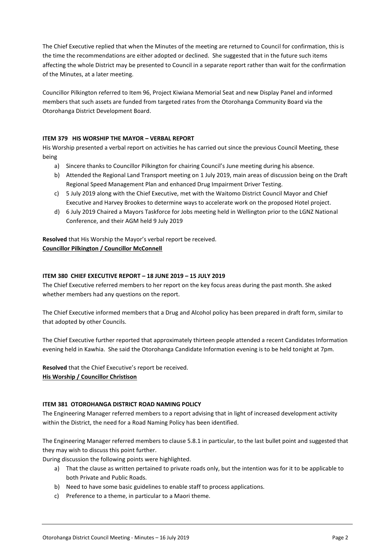The Chief Executive replied that when the Minutes of the meeting are returned to Council for confirmation, this is the time the recommendations are either adopted or declined. She suggested that in the future such items affecting the whole District may be presented to Council in a separate report rather than wait for the confirmation of the Minutes, at a later meeting.

Councillor Pilkington referred to Item 96, Project Kiwiana Memorial Seat and new Display Panel and informed members that such assets are funded from targeted rates from the Otorohanga Community Board via the Otorohanga District Development Board.

#### **ITEM 379 HIS WORSHIP THE MAYOR – VERBAL REPORT**

His Worship presented a verbal report on activities he has carried out since the previous Council Meeting, these being

- a) Sincere thanks to Councillor Pilkington for chairing Council's June meeting during his absence.
- b) Attended the Regional Land Transport meeting on 1 July 2019, main areas of discussion being on the Draft Regional Speed Management Plan and enhanced Drug Impairment Driver Testing.
- c) 5 July 2019 along with the Chief Executive, met with the Waitomo District Council Mayor and Chief Executive and Harvey Brookes to determine ways to accelerate work on the proposed Hotel project.
- d) 6 July 2019 Chaired a Mayors Taskforce for Jobs meeting held in Wellington prior to the LGNZ National Conference, and their AGM held 9 July 2019

**Resolved** that His Worship the Mayor's verbal report be received. **Councillor Pilkington / Councillor McConnell**

#### **ITEM 380 CHIEF EXECUTIVE REPORT – 18 JUNE 2019 – 15 JULY 2019**

The Chief Executive referred members to her report on the key focus areas during the past month. She asked whether members had any questions on the report.

The Chief Executive informed members that a Drug and Alcohol policy has been prepared in draft form, similar to that adopted by other Councils.

The Chief Executive further reported that approximately thirteen people attended a recent Candidates Information evening held in Kawhia. She said the Otorohanga Candidate Information evening is to be held tonight at 7pm.

**Resolved** that the Chief Executive's report be received. **His Worship / Councillor Christison**

#### **ITEM 381 OTOROHANGA DISTRICT ROAD NAMING POLICY**

The Engineering Manager referred members to a report advising that in light of increased development activity within the District, the need for a Road Naming Policy has been identified.

The Engineering Manager referred members to clause 5.8.1 in particular, to the last bullet point and suggested that they may wish to discuss this point further.

During discussion the following points were highlighted.

- a) That the clause as written pertained to private roads only, but the intention was for it to be applicable to both Private and Public Roads.
- b) Need to have some basic guidelines to enable staff to process applications.
- c) Preference to a theme, in particular to a Maori theme.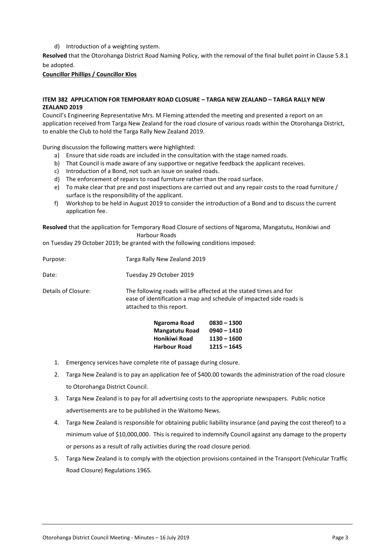d) Introduction of a weighting system.

**Resolved** that the Otorohanga District Road Naming Policy, with the removal of the final bullet point in Clause 5.8.1 be adopted.

#### **Councillor Phillips / Councillor Klos**

#### **ITEM 382 APPLICATION FOR TEMPORARY ROAD CLOSURE – TARGA NEW ZEALAND – TARGA RALLY NEW ZEALAND 2019**

Council's Engineering Representative Mrs. M Fleming attended the meeting and presented a report on an application received from Targa New Zealand for the road closure of various roads within the Otorohanga District, to enable the Club to hold the Targa Rally New Zealand 2019.

During discussion the following matters were highlighted:

- a) Ensure that side roads are included in the consultation with the stage named roads.
- b) That Council is made aware of any supportive or negative feedback the applicant receives.
- c) Introduction of a Bond, not such an issue on sealed roads.
- d) The enforcement of repairs to road furniture rather than the road surface.
- e) To make clear that pre and post inspections are carried out and any repair costs to the road furniture / surface is the responsibility of the applicant.
- f) Workshop to be held in August 2019 to consider the introduction of a Bond and to discuss the current application fee.

**Resolved** that the application for Temporary Road Closure of sections of Ngaroma, Mangatutu, Honikiwi and Harbour Roads

on Tuesday 29 October 2019; be granted with the following conditions imposed:

|                     | Ngaroma Road<br>Mangatutu Road<br>Honikiwi Road | $0830 - 1300$<br>$0940 - 1410$<br>$1130 - 1600$                                                                                         |  |  |
|---------------------|-------------------------------------------------|-----------------------------------------------------------------------------------------------------------------------------------------|--|--|
| Details of Closure: | attached to this report.                        | The following roads will be affected at the stated times and for<br>ease of identification a map and schedule of impacted side roads is |  |  |
| Date:               | Tuesday 29 October 2019                         |                                                                                                                                         |  |  |
| Purpose:            | Targa Rally New Zealand 2019                    |                                                                                                                                         |  |  |

- **Harbour Road 1215 – 1645**
- 1. Emergency services have complete rite of passage during closure.
- 2. Targa New Zealand is to pay an application fee of \$400.00 towards the administration of the road closure to Otorohanga District Council.
- 3. Targa New Zealand is to pay for all advertising costs to the appropriate newspapers. Public notice advertisements are to be published in the Waitomo News.
- 4. Targa New Zealand is responsible for obtaining public liability insurance (and paying the cost thereof) to a minimum value of \$10,000,000. This is required to indemnify Council against any damage to the property or persons as a result of rally activities during the road closure period.
- 5. Targa New Zealand is to comply with the objection provisions contained in the Transport (Vehicular Traffic Road Closure) Regulations 1965.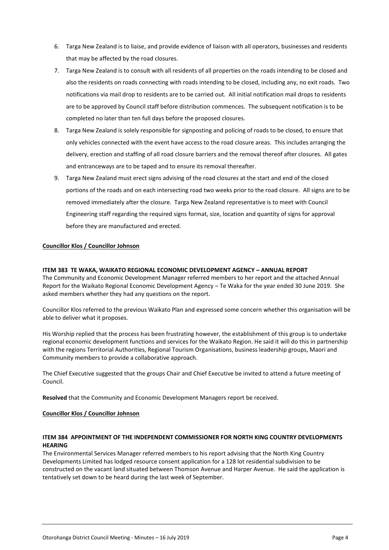- 6. Targa New Zealand is to liaise, and provide evidence of liaison with all operators, businesses and residents that may be affected by the road closures.
- 7. Targa New Zealand is to consult with all residents of all properties on the roads intending to be closed and also the residents on roads connecting with roads intending to be closed, including any, no exit roads. Two notifications via mail drop to residents are to be carried out. All initial notification mail drops to residents are to be approved by Council staff before distribution commences. The subsequent notification is to be completed no later than ten full days before the proposed closures.
- 8. Targa New Zealand is solely responsible for signposting and policing of roads to be closed, to ensure that only vehicles connected with the event have access to the road closure areas. This includes arranging the delivery, erection and staffing of all road closure barriers and the removal thereof after closures. All gates and entranceways are to be taped and to ensure its removal thereafter.
- 9. Targa New Zealand must erect signs advising of the road closures at the start and end of the closed portions of the roads and on each intersecting road two weeks prior to the road closure. All signs are to be removed immediately after the closure. Targa New Zealand representative is to meet with Council Engineering staff regarding the required signs format, size, location and quantity of signs for approval before they are manufactured and erected.

#### **Councillor Klos / Councillor Johnson**

#### **ITEM 383 TE WAKA, WAIKATO REGIONAL ECONOMIC DEVELOPMENT AGENCY – ANNUAL REPORT**

The Community and Economic Development Manager referred members to her report and the attached Annual Report for the Waikato Regional Economic Development Agency – Te Waka for the year ended 30 June 2019. She asked members whether they had any questions on the report.

Councillor Klos referred to the previous Waikato Plan and expressed some concern whether this organisation will be able to deliver what it proposes.

His Worship replied that the process has been frustrating however, the establishment of this group is to undertake regional economic development functions and services for the Waikato Region. He said it will do this in partnership with the regions Territorial Authorities, Regional Tourism Organisations, business leadership groups, Maori and Community members to provide a collaborative approach.

The Chief Executive suggested that the groups Chair and Chief Executive be invited to attend a future meeting of Council.

**Resolved** that the Community and Economic Development Managers report be received.

#### **Councillor Klos / Councillor Johnson**

#### **ITEM 384 APPOINTMENT OF THE INDEPENDENT COMMISSIONER FOR NORTH KING COUNTRY DEVELOPMENTS HEARING**

The Environmental Services Manager referred members to his report advising that the North King Country Developments Limited has lodged resource consent application for a 128 lot residential subdivision to be constructed on the vacant land situated between Thomson Avenue and Harper Avenue. He said the application is tentatively set down to be heard during the last week of September.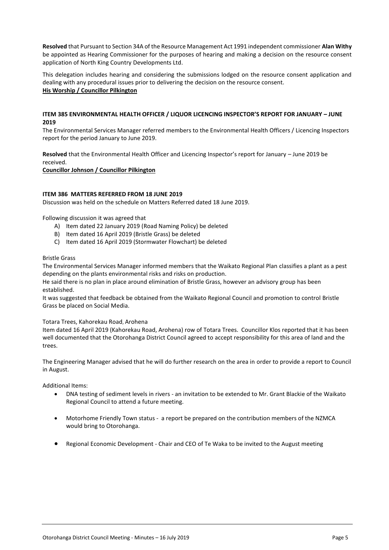**Resolved** that Pursuant to Section 34A of the Resource Management Act 1991 independent commissioner **Alan Withy** be appointed as Hearing Commissioner for the purposes of hearing and making a decision on the resource consent application of North King Country Developments Ltd.

This delegation includes hearing and considering the submissions lodged on the resource consent application and dealing with any procedural issues prior to delivering the decision on the resource consent. **His Worship / Councillor Pilkington**

#### **ITEM 385 ENVIRONMENTAL HEALTH OFFICER / LIQUOR LICENCING INSPECTOR'S REPORT FOR JANUARY – JUNE 2019**

The Environmental Services Manager referred members to the Environmental Health Officers / Licencing Inspectors report for the period January to June 2019.

**Resolved** that the Environmental Health Officer and Licencing Inspector's report for January – June 2019 be received.

**Councillor Johnson / Councillor Pilkington** 

#### **ITEM 386 MATTERS REFERRED FROM 18 JUNE 2019**

Discussion was held on the schedule on Matters Referred dated 18 June 2019.

Following discussion it was agreed that

- A) Item dated 22 January 2019 (Road Naming Policy) be deleted
- B) Item dated 16 April 2019 (Bristle Grass) be deleted
- C) Item dated 16 April 2019 (Stormwater Flowchart) be deleted

#### Bristle Grass

The Environmental Services Manager informed members that the Waikato Regional Plan classifies a plant as a pest depending on the plants environmental risks and risks on production.

He said there is no plan in place around elimination of Bristle Grass, however an advisory group has been established.

It was suggested that feedback be obtained from the Waikato Regional Council and promotion to control Bristle Grass be placed on Social Media.

#### Totara Trees, Kahorekau Road, Arohena

Item dated 16 April 2019 (Kahorekau Road, Arohena) row of Totara Trees. Councillor Klos reported that it has been well documented that the Otorohanga District Council agreed to accept responsibility for this area of land and the trees.

The Engineering Manager advised that he will do further research on the area in order to provide a report to Council in August.

Additional Items:

- DNA testing of sediment levels in rivers an invitation to be extended to Mr. Grant Blackie of the Waikato Regional Council to attend a future meeting.
- Motorhome Friendly Town status a report be prepared on the contribution members of the NZMCA would bring to Otorohanga.
- Regional Economic Development Chair and CEO of Te Waka to be invited to the August meeting